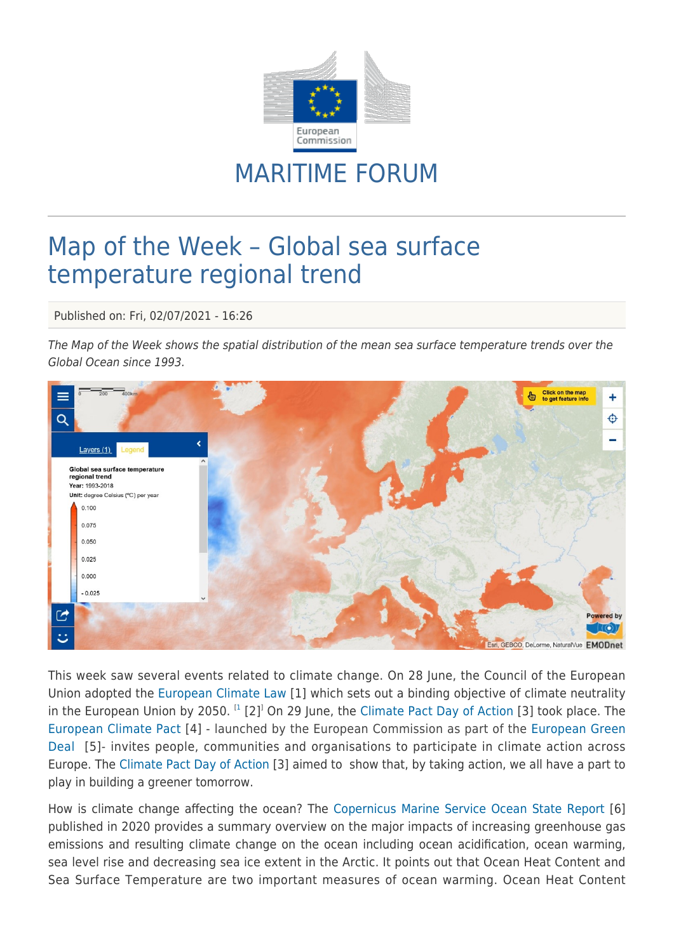

## MARITIME FORUM

## Map of the Week – Global sea surface temperature regional trend

Published on: Fri, 02/07/2021 - 16:26

The Map of the Week shows the spatial distribution of the mean sea surface temperature trends over the Global Ocean since 1993.



This week saw several events related to climate change. On 28 June, the Council of the European Union adopted the [European Climate Law](https://data.consilium.europa.eu/doc/document/PE-27-2021-INIT/en/pdf) [1] which sets out a binding objective of climate neutrality in the European Union by 2050.  $^{[1]}$  $^{[1]}$  $^{[1]}$  [2]<sup>1</sup> On 29 June, the [Climate Pact Day of Action](https://europa.eu/climate-pact/events/climate-pact-day-action_en) [3] took place. The [European Climate Pact](https://europa.eu/climate-pact/index_en) [4] - launched by the European Commission as part of the [European Green](https://ec.europa.eu/info/strategy/priorities-2019-2024/european-green-deal_en) [Deal](https://ec.europa.eu/info/strategy/priorities-2019-2024/european-green-deal_en) [5]- invites people, communities and organisations to participate in climate action across Europe. The [Climate Pact Day of Action](https://europa.eu/climate-pact/events/climate-pact-day-action_en) [3] aimed to show that, by taking action, we all have a part to play in building a greener tomorrow.

How is climate change affecting the ocean? The [Copernicus Marine Service Ocean State Report](https://marine.copernicus.eu/access-data/ocean-state-report/ocean-state-report-4th-issue) [6] published in 2020 provides a summary overview on the major impacts of increasing greenhouse gas emissions and resulting climate change on the ocean including ocean acidification, ocean warming, sea level rise and decreasing sea ice extent in the Arctic. It points out that Ocean Heat Content and Sea Surface Temperature are two important measures of ocean warming. Ocean Heat Content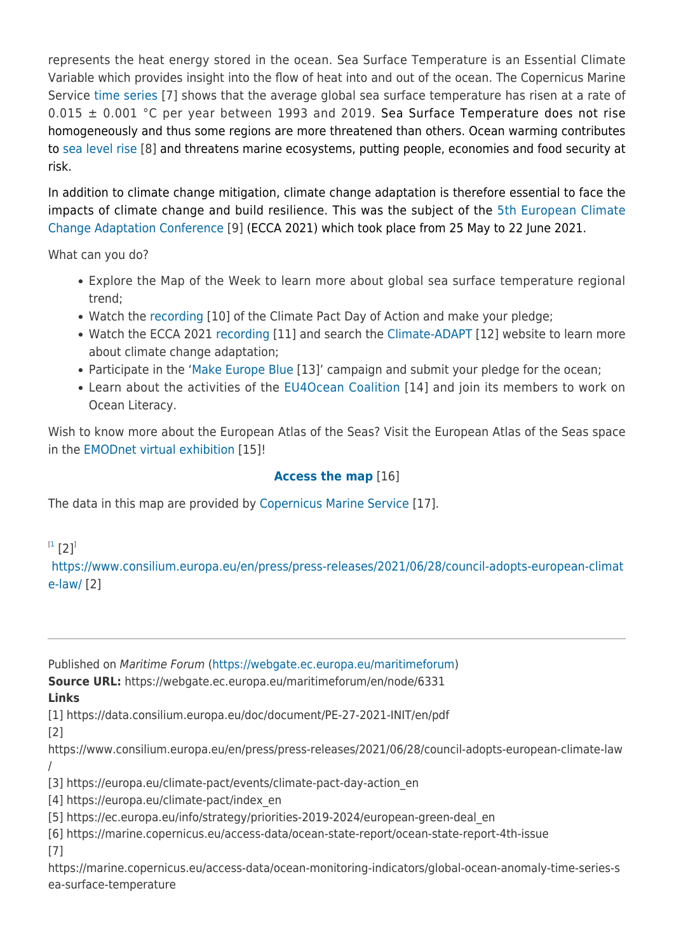represents the heat energy stored in the ocean. Sea Surface Temperature is an Essential Climate Variable which provides insight into the flow of heat into and out of the ocean. The Copernicus Marine Service [time series](https://marine.copernicus.eu/access-data/ocean-monitoring-indicators/global-ocean-anomaly-time-series-sea-surface-temperature) [7] shows that the average global sea surface temperature has risen at a rate of  $0.015 \pm 0.001$  °C per year between 1993 and 2019. Sea Surface Temperature does not rise homogeneously and thus some regions are more threatened than others. Ocean warming contributes to [sea level rise](https://webgate.ec.europa.eu/maritimeforum/en/node/5543) [8] and threatens marine ecosystems, putting people, economies and food security at risk.

In addition to climate change mitigation, climate change adaptation is therefore essential to face the impacts of climate change and build resilience. This was the subject of the [5th European Climate](https://www.ecca21.eu/) [Change Adaptation Conference](https://www.ecca21.eu/) [9] (ECCA 2021) which took place from 25 May to 22 June 2021.

What can you do?

- Explore the Map of the Week to learn more about global sea surface temperature regional trend;
- Watch the [recording](https://climate-pact-2021.b2match.io/) [10] of the Climate Pact Day of Action and make your pledge;
- Watch the ECCA 2021 [recording](https://www.ecca21.eu/page-3911) [11] and search the [Climate-ADAPT](https://climate-adapt.eea.europa.eu/) [12] website to learn more about climate change adaptation;
- Participate in the '[Make Europe Blue](https://webgate.ec.europa.eu/maritimeforum/en/frontpage/1647) [13]' campaign and submit your pledge for the ocean;
- Learn about the activities of the [EU4Ocean Coalition](https://webgate.ec.europa.eu/maritimeforum/en/frontpage/1482) [14] and join its members to work on Ocean Literacy.

Wish to know more about the European Atlas of the Seas? Visit the European Atlas of the Seas space in the [EMODnet virtual exhibition](http://www.emodnetconference2021.eu/faq) [15]!

## **[Access the map](https://ec.europa.eu/maritimeaffairs/atlas/maritime_atlas/#lang=EN;p=w;bkgd=5;theme=999:0.8;c=11305.885783992708,7033312.218247012;z=4;e=t)** [16]

The data in this map are provided by [Copernicus Marine Service](https://marine.copernicus.eu/) [17].

 $^{[1}$  $^{[1}$  $^{[1}$  [2] $^{]}$ 

[https://www.consilium.europa.eu/en/press/press-releases/2021/06/28/council-adopts-european-climat](https://www.consilium.europa.eu/en/press/press-releases/2021/06/28/council-adopts-european-climate-law/) [e-law/](https://www.consilium.europa.eu/en/press/press-releases/2021/06/28/council-adopts-european-climate-law/) [2]

Published on Maritime Forum ([https://webgate.ec.europa.eu/maritimeforum\)](https://webgate.ec.europa.eu/maritimeforum)

**Source URL:** https://webgate.ec.europa.eu/maritimeforum/en/node/6331

**Links**

[1] https://data.consilium.europa.eu/doc/document/PE-27-2021-INIT/en/pdf

[2]

https://www.consilium.europa.eu/en/press/press-releases/2021/06/28/council-adopts-european-climate-law /

[3] https://europa.eu/climate-pact/events/climate-pact-day-action\_en

[4] https://europa.eu/climate-pact/index\_en

[5] https://ec.europa.eu/info/strategy/priorities-2019-2024/european-green-deal\_en

[6] https://marine.copernicus.eu/access-data/ocean-state-report/ocean-state-report-4th-issue [7]

https://marine.copernicus.eu/access-data/ocean-monitoring-indicators/global-ocean-anomaly-time-series-s ea-surface-temperature